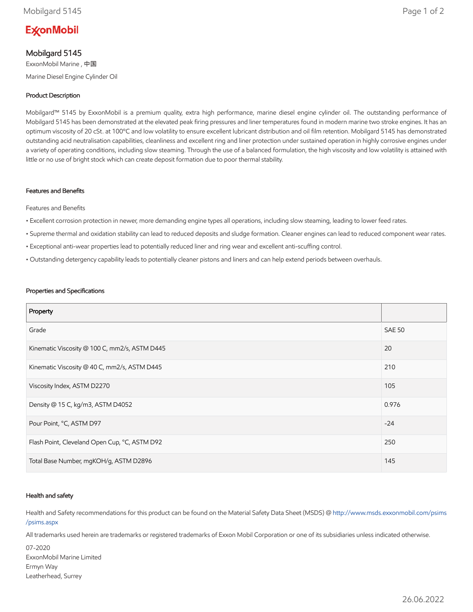# **ExconMobil**

# Mobilgard 5145

ExxonMobil Marine , 中国 Marine Diesel Engine Cylinder Oil

## Product Description

Mobilgard™ 5145 by ExxonMobil is a premium quality, extra high performance, marine diesel engine cylinder oil. The outstanding performance of Mobilgard 5145 has been demonstrated at the elevated peak firing pressures and liner temperatures found in modern marine two stroke engines. It has an optimum viscosity of 20 cSt. at 100ºC and low volatility to ensure excellent lubricant distribution and oil film retention. Mobilgard 5145 has demonstrated outstanding acid neutralisation capabilities, cleanliness and excellent ring and liner protection under sustained operation in highly corrosive engines under a variety of operating conditions, including slow steaming. Through the use of a balanced formulation, the high viscosity and low volatility is attained with little or no use of bright stock which can create deposit formation due to poor thermal stability.

#### Features and Benefits

Features and Benefits

- Excellent corrosion protection in newer, more demanding engine types all operations, including slow steaming, leading to lower feed rates.
- Supreme thermal and oxidation stability can lead to reduced deposits and sludge formation. Cleaner engines can lead to reduced component wear rates.
- Exceptional anti-wear properties lead to potentially reduced liner and ring wear and excellent anti-scuffing control.
- Outstanding detergency capability leads to potentially cleaner pistons and liners and can help extend periods between overhauls.

#### Properties and Specifications

| Property                                      |               |
|-----------------------------------------------|---------------|
| Grade                                         | <b>SAE 50</b> |
| Kinematic Viscosity @ 100 C, mm2/s, ASTM D445 | 20            |
| Kinematic Viscosity @ 40 C, mm2/s, ASTM D445  | 210           |
| Viscosity Index, ASTM D2270                   | 105           |
| Density @ 15 C, kg/m3, ASTM D4052             | 0.976         |
| Pour Point, °C, ASTM D97                      | $-24$         |
| Flash Point, Cleveland Open Cup, °C, ASTM D92 | 250           |
| Total Base Number, mgKOH/g, ASTM D2896        | 145           |

#### Health and safety

Health and Safety recommendations for this product can be found on the Material Safety Data Sheet (MSDS) @ [http://www.msds.exxonmobil.com/psims](http://www.msds.exxonmobil.com/psims/psims.aspx) /psims.aspx

All trademarks used herein are trademarks or registered trademarks of Exxon Mobil Corporation or one of its subsidiaries unless indicated otherwise.

07-2020 ExxonMobil Marine Limited Ermyn Way Leatherhead, Surrey